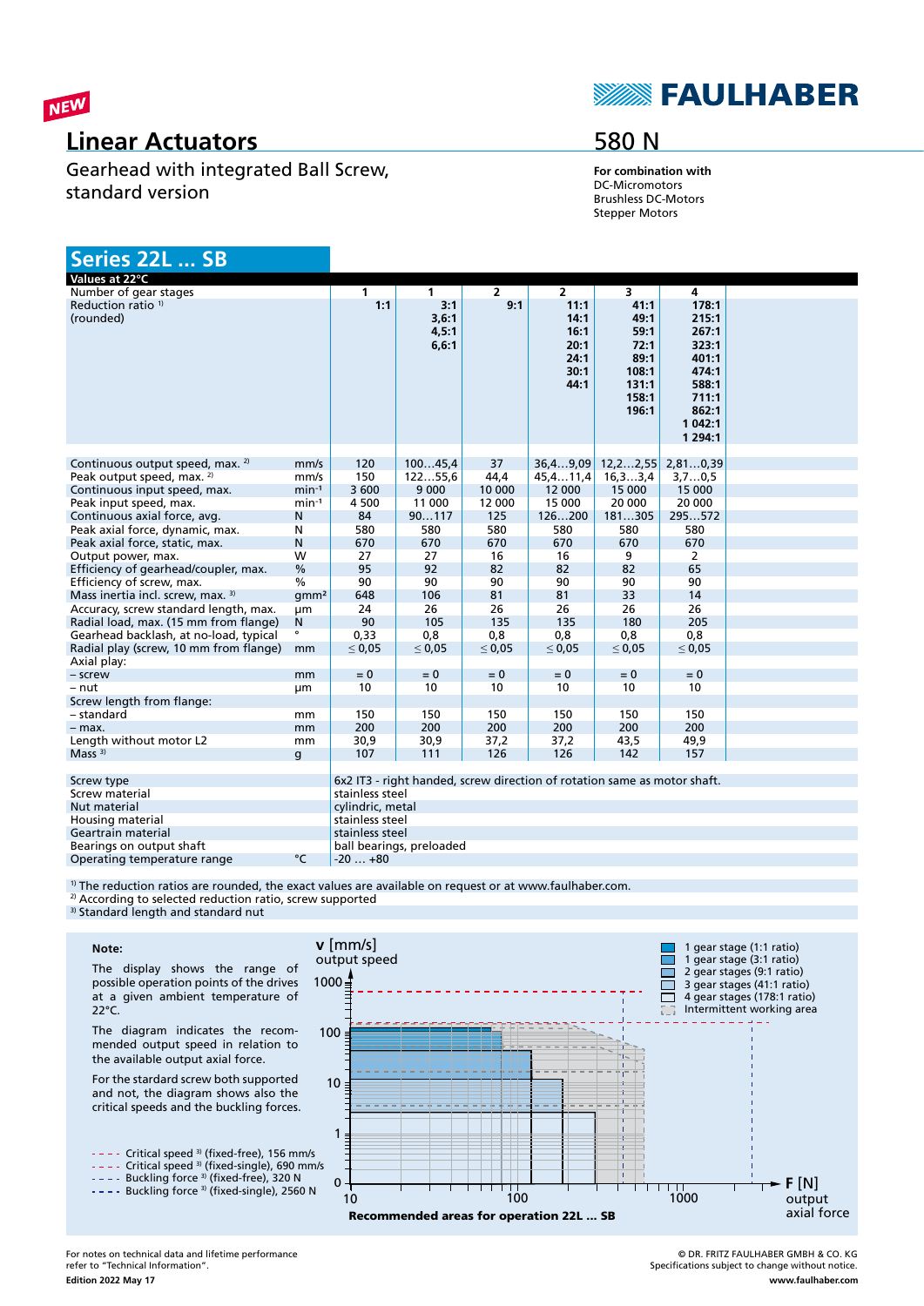

## **Linear Actuators**

Gearhead with integrated Ball Screw, standard version

# **SEAULHABER**

## 580 N

**For combination with** DC-Micromotors Brushless DC-Motors Stepper Motors

| Series 22L  SB                                        |                  |                  |                                 |                |                                                                          |                                                                          |                                                                                                     |
|-------------------------------------------------------|------------------|------------------|---------------------------------|----------------|--------------------------------------------------------------------------|--------------------------------------------------------------------------|-----------------------------------------------------------------------------------------------------|
| Values at 22°C                                        |                  |                  |                                 |                |                                                                          |                                                                          |                                                                                                     |
| Number of gear stages                                 |                  | $\mathbf{1}$     | $\mathbf{1}$                    | $\overline{2}$ | $\overline{2}$                                                           | 3                                                                        | 4                                                                                                   |
| Reduction ratio <sup>1)</sup><br>(rounded)            |                  | 1:1              | 3:1<br>3,6:1<br>4,5:1<br>6, 6:1 | 9:1            | 11:1<br>14:1<br>16:1<br>20:1<br>24:1<br>30:1<br>44:1                     | 41:1<br>49:1<br>59:1<br>72:1<br>89:1<br>108:1<br>131:1<br>158:1<br>196:1 | 178:1<br>215:1<br>267:1<br>323:1<br>401:1<br>474:1<br>588:1<br>711:1<br>862:1<br>1 042:1<br>1 294:1 |
| Continuous output speed, max. <sup>2)</sup>           | mm/s             | 120              | 10045,4                         | 37             | 36,49,09                                                                 | 12, 22, 55                                                               | 2,810,39                                                                                            |
| Peak output speed, max. 2)                            | mm/s             | 150              | 12255,6                         | 44,4           | 45, 411, 4                                                               | 16, 33, 4                                                                | 3,70,5                                                                                              |
| Continuous input speed, max.                          | $min-1$          | 3 600            | 9 0 0 0                         | 10 000         | 12 000                                                                   | 15 000                                                                   | 15 000                                                                                              |
| Peak input speed, max.                                | $min-1$          | 4 500            | 11 000                          | 12 000         | 15 000                                                                   | 20 000                                                                   | 20 000                                                                                              |
| Continuous axial force, avg.                          | N                | 84               | 90117                           | 125            | 126200                                                                   | 181305                                                                   | 295572                                                                                              |
| Peak axial force, dynamic, max.                       | N                | 580              | 580                             | 580            | 580                                                                      | 580                                                                      | 580                                                                                                 |
| Peak axial force, static, max.                        | N                | 670              | 670                             | 670            | 670                                                                      | 670                                                                      | 670                                                                                                 |
| Output power, max.                                    | W                | 27               | 27                              | 16             | 16                                                                       | 9                                                                        | $\overline{2}$                                                                                      |
| Efficiency of gearhead/coupler, max.                  | $\%$             | 95               | 92                              | 82             | 82                                                                       | 82                                                                       | 65                                                                                                  |
| Efficiency of screw, max.                             | $\frac{0}{0}$    | 90               | 90                              | 90             | 90                                                                       | 90                                                                       | 90                                                                                                  |
| Mass inertia incl. screw, max. 3)                     | qmm <sup>2</sup> | 648              | 106                             | 81             | 81                                                                       | 33                                                                       | 14                                                                                                  |
| Accuracy, screw standard length, max.                 | μm               | 24               | 26                              | 26             | 26                                                                       | 26                                                                       | 26                                                                                                  |
| Radial load, max. (15 mm from flange)                 | N                | 90               | 105                             | 135            | 135                                                                      | 180                                                                      | 205                                                                                                 |
| Gearhead backlash, at no-load, typical                |                  | 0,33             | 0,8                             | 0,8            | 0,8                                                                      | 0,8                                                                      | 0,8                                                                                                 |
| Radial play (screw, 10 mm from flange)<br>Axial play: | mm               | $\leq 0.05$      | $\leq 0.05$                     | $\leq 0.05$    | $\leq 0.05$                                                              | $\leq 0.05$                                                              | $\leq 0.05$                                                                                         |
| - screw                                               | mm               | $= 0$            | $= 0$                           | $= 0$          | $= 0$                                                                    | $= 0$                                                                    | $= 0$                                                                                               |
| - nut                                                 | μm               | 10               | 10                              | 10             | 10                                                                       | 10                                                                       | 10                                                                                                  |
| Screw length from flange:                             |                  |                  |                                 |                |                                                                          |                                                                          |                                                                                                     |
| - standard                                            | mm               | 150              | 150                             | 150            | 150                                                                      | 150                                                                      | 150                                                                                                 |
| $-$ max.                                              | mm               | 200              | 200                             | 200            | 200                                                                      | 200                                                                      | 200                                                                                                 |
| Length without motor L2                               | mm               | 30,9             | 30,9                            | 37,2           | 37,2                                                                     | 43,5                                                                     | 49,9                                                                                                |
| Mass $3)$                                             | g                | 107              | 111                             | 126            | 126                                                                      | 142                                                                      | 157                                                                                                 |
|                                                       |                  |                  |                                 |                | 6x2 IT3 - right handed, screw direction of rotation same as motor shaft. |                                                                          |                                                                                                     |
| Screw type                                            |                  |                  |                                 |                |                                                                          |                                                                          |                                                                                                     |
| Screw material                                        |                  | stainless steel  |                                 |                |                                                                          |                                                                          |                                                                                                     |
| Nut material                                          |                  | cylindric, metal |                                 |                |                                                                          |                                                                          |                                                                                                     |
| Housing material                                      |                  | stainless steel  |                                 |                |                                                                          |                                                                          |                                                                                                     |
| Geartrain material                                    |                  | stainless steel  |                                 |                |                                                                          |                                                                          |                                                                                                     |
| Bearings on output shaft                              |                  |                  | ball bearings, preloaded        |                |                                                                          |                                                                          |                                                                                                     |
| Operating temperature range                           | °C               | $-20+80$         |                                 |                |                                                                          |                                                                          |                                                                                                     |

<sup>1)</sup> The reduction ratios are rounded, the exact values are available on request or at www.faulhaber.com.

**v** [mm/s]

output speed

0

1

10

100

 $1000 \frac{1}{2}$ 

<sup>2)</sup> According to selected reduction ratio, screw supported <sup>3)</sup> Standard length and standard nut

#### **Note:**

The display shows the range of possible operation points of the drives at a given ambient temperature of 22°C.

The diagram indicates the recommended output speed in relation to the available output axial force.

For the stardard screw both supported and not, the diagram shows also the critical speeds and the buckling forces.



Critical speed 3) (fixed-single), 690 mm/s

Buckling force <sup>3)</sup> (fixed-free), 320 N Buckling force <sup>3)</sup> (fixed-single), 2560 N



1 gear stage (1:1 ratio) 1 gear stage (3:1 ratio) 2 gear stages (9:1 ratio) 3 gear stages (41:1 ratio) 4 gear stages (178:1 ratio) Intermittent working area

п П П ō

**F** [N]

output axial force